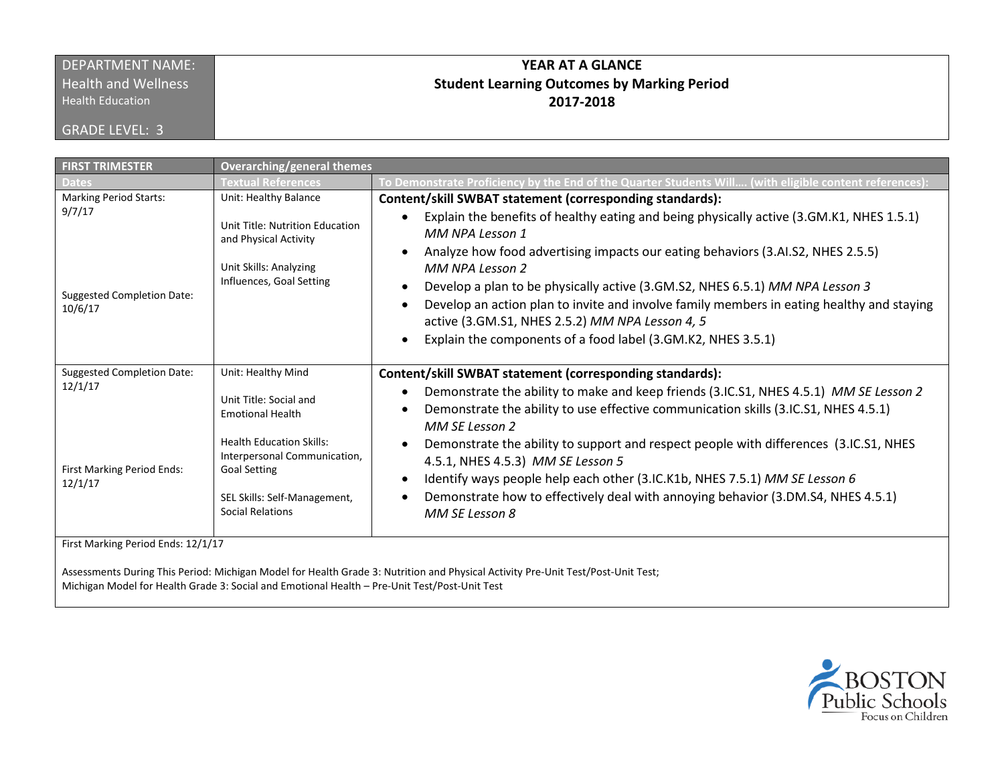# DEPARTMENT NAME:

**Health and Wellness** 

Health Education

GRADE LEVEL: 3

## **YEAR AT A GLANCE Student Learning Outcomes by Marking Period 2017-2018**

| <b>FIRST TRIMESTER</b>                                                                | Overarching/general themes                                                                                                                                                                                            |                                                                                                                                                                                                                                                                                                                                                                                                                                                                                                                                                                                                                                               |  |  |  |
|---------------------------------------------------------------------------------------|-----------------------------------------------------------------------------------------------------------------------------------------------------------------------------------------------------------------------|-----------------------------------------------------------------------------------------------------------------------------------------------------------------------------------------------------------------------------------------------------------------------------------------------------------------------------------------------------------------------------------------------------------------------------------------------------------------------------------------------------------------------------------------------------------------------------------------------------------------------------------------------|--|--|--|
| <b>Dates</b>                                                                          | <b>Textual References</b>                                                                                                                                                                                             | To Demonstrate Proficiency by the End of the Quarter Students Will (with eligible content references):                                                                                                                                                                                                                                                                                                                                                                                                                                                                                                                                        |  |  |  |
| <b>Marking Period Starts:</b><br>9/7/17                                               | Unit: Healthy Balance<br>Unit Title: Nutrition Education<br>and Physical Activity                                                                                                                                     | Content/skill SWBAT statement (corresponding standards):<br>Explain the benefits of healthy eating and being physically active (3.GM.K1, NHES 1.5.1)<br>$\bullet$<br>MM NPA Lesson 1<br>Analyze how food advertising impacts our eating behaviors (3.AI.S2, NHES 2.5.5)                                                                                                                                                                                                                                                                                                                                                                       |  |  |  |
| <b>Suggested Completion Date:</b><br>10/6/17                                          | Unit Skills: Analyzing<br>Influences, Goal Setting                                                                                                                                                                    | MM NPA Lesson 2<br>Develop a plan to be physically active (3.GM.S2, NHES 6.5.1) MM NPA Lesson 3<br>Develop an action plan to invite and involve family members in eating healthy and staying<br>$\bullet$<br>active (3.GM.S1, NHES 2.5.2) MM NPA Lesson 4, 5<br>Explain the components of a food label (3.GM.K2, NHES 3.5.1)                                                                                                                                                                                                                                                                                                                  |  |  |  |
| <b>Suggested Completion Date:</b><br>12/1/17<br>First Marking Period Ends:<br>12/1/17 | Unit: Healthy Mind<br>Unit Title: Social and<br><b>Emotional Health</b><br><b>Health Education Skills:</b><br>Interpersonal Communication,<br><b>Goal Setting</b><br>SEL Skills: Self-Management,<br>Social Relations | Content/skill SWBAT statement (corresponding standards):<br>Demonstrate the ability to make and keep friends (3.IC.S1, NHES 4.5.1) MM SE Lesson 2<br>$\bullet$<br>Demonstrate the ability to use effective communication skills (3.IC.S1, NHES 4.5.1)<br>$\bullet$<br>MM SE Lesson 2<br>Demonstrate the ability to support and respect people with differences (3.IC.S1, NHES<br>$\bullet$<br>4.5.1, NHES 4.5.3) MM SE Lesson 5<br>Identify ways people help each other (3.IC.K1b, NHES 7.5.1) MM SE Lesson 6<br>$\bullet$<br>Demonstrate how to effectively deal with annoying behavior (3.DM.S4, NHES 4.5.1)<br>$\bullet$<br>MM SE Lesson 8 |  |  |  |
| First Marking Period Ends: 12/1/17                                                    |                                                                                                                                                                                                                       |                                                                                                                                                                                                                                                                                                                                                                                                                                                                                                                                                                                                                                               |  |  |  |

Assessments During This Period: Michigan Model for Health Grade 3: Nutrition and Physical Activity Pre-Unit Test/Post-Unit Test; Michigan Model for Health Grade 3: Social and Emotional Health – Pre-Unit Test/Post-Unit Test

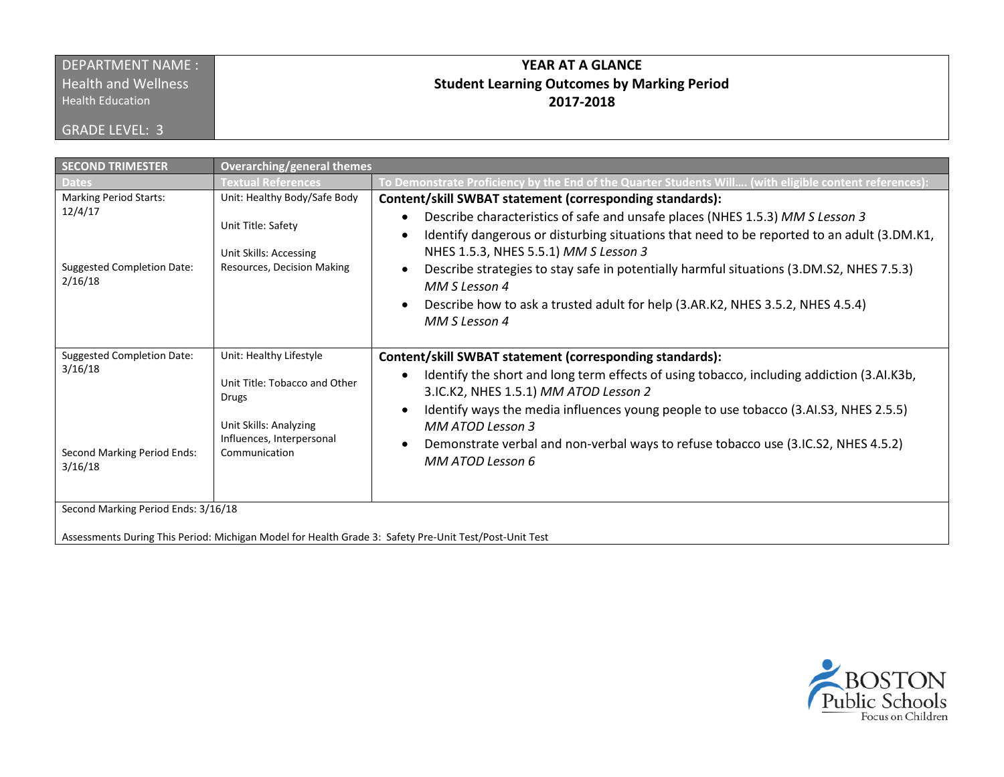#### DEPARTMENT NAME : **Health and Wellness**

Health Education

GRADE LEVEL: 3

## **YEAR AT A GLANCE Student Learning Outcomes by Marking Period 2017-2018**

| <b>SECOND TRIMESTER</b>                                                                                                       | <b>Overarching/general themes</b>                                                                                                         |                                                                                                                                                                                                                                                                                                                                                                                                                                                                                                               |  |  |
|-------------------------------------------------------------------------------------------------------------------------------|-------------------------------------------------------------------------------------------------------------------------------------------|---------------------------------------------------------------------------------------------------------------------------------------------------------------------------------------------------------------------------------------------------------------------------------------------------------------------------------------------------------------------------------------------------------------------------------------------------------------------------------------------------------------|--|--|
| <b>Dates</b>                                                                                                                  | Textual References                                                                                                                        | To Demonstrate Proficiency by the End of the Quarter Students Will (with eligible content references):                                                                                                                                                                                                                                                                                                                                                                                                        |  |  |
| <b>Marking Period Starts:</b><br>12/4/17<br><b>Suggested Completion Date:</b><br>2/16/18                                      | Unit: Healthy Body/Safe Body<br>Unit Title: Safety<br>Unit Skills: Accessing<br>Resources, Decision Making                                | Content/skill SWBAT statement (corresponding standards):<br>Describe characteristics of safe and unsafe places (NHES 1.5.3) MM S Lesson 3<br>$\bullet$<br>Identify dangerous or disturbing situations that need to be reported to an adult (3.DM.K1,<br>NHES 1.5.3, NHES 5.5.1) MM S Lesson 3<br>Describe strategies to stay safe in potentially harmful situations (3.DM.S2, NHES 7.5.3)<br>MM S Lesson 4<br>Describe how to ask a trusted adult for help (3.AR.K2, NHES 3.5.2, NHES 4.5.4)<br>MM S Lesson 4 |  |  |
| <b>Suggested Completion Date:</b><br>3/16/18<br>Second Marking Period Ends:<br>3/16/18<br>Second Marking Period Ends: 3/16/18 | Unit: Healthy Lifestyle<br>Unit Title: Tobacco and Other<br>Drugs<br>Unit Skills: Analyzing<br>Influences, Interpersonal<br>Communication | Content/skill SWBAT statement (corresponding standards):<br>Identify the short and long term effects of using tobacco, including addiction (3.AI.K3b,<br>3.IC.K2, NHES 1.5.1) MM ATOD Lesson 2<br>Identify ways the media influences young people to use tobacco (3.AI.S3, NHES 2.5.5)<br>MM ATOD Lesson 3<br>Demonstrate verbal and non-verbal ways to refuse tobacco use (3.IC.S2, NHES 4.5.2)<br>MM ATOD Lesson 6                                                                                          |  |  |
|                                                                                                                               |                                                                                                                                           |                                                                                                                                                                                                                                                                                                                                                                                                                                                                                                               |  |  |

Assessments During This Period: Michigan Model for Health Grade 3: Safety Pre-Unit Test/Post-Unit Test